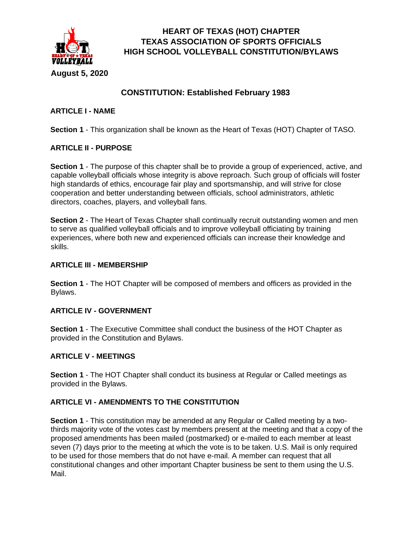

# **CONSTITUTION: Established February 1983**

# **ARTICLE I - NAME**

**Section 1** - This organization shall be known as the Heart of Texas (HOT) Chapter of TASO.

# **ARTICLE II - PURPOSE**

**Section 1** - The purpose of this chapter shall be to provide a group of experienced, active, and capable volleyball officials whose integrity is above reproach. Such group of officials will foster high standards of ethics, encourage fair play and sportsmanship, and will strive for close cooperation and better understanding between officials, school administrators, athletic directors, coaches, players, and volleyball fans.

**Section 2** - The Heart of Texas Chapter shall continually recruit outstanding women and men to serve as qualified volleyball officials and to improve volleyball officiating by training experiences, where both new and experienced officials can increase their knowledge and skills.

# **ARTICLE III - MEMBERSHIP**

**Section 1** - The HOT Chapter will be composed of members and officers as provided in the Bylaws.

## **ARTICLE IV - GOVERNMENT**

**Section 1** - The Executive Committee shall conduct the business of the HOT Chapter as provided in the Constitution and Bylaws.

## **ARTICLE V - MEETINGS**

**Section 1** - The HOT Chapter shall conduct its business at Regular or Called meetings as provided in the Bylaws.

# **ARTICLE VI - AMENDMENTS TO THE CONSTITUTION**

**Section 1** - This constitution may be amended at any Regular or Called meeting by a twothirds majority vote of the votes cast by members present at the meeting and that a copy of the proposed amendments has been mailed (postmarked) or e-mailed to each member at least seven (7) days prior to the meeting at which the vote is to be taken. U.S. Mail is only required to be used for those members that do not have e-mail. A member can request that all constitutional changes and other important Chapter business be sent to them using the U.S. Mail.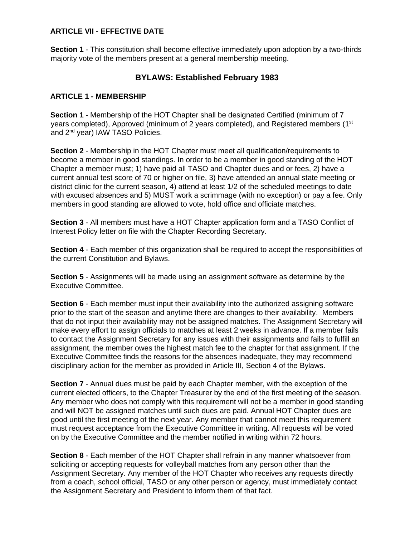## **ARTICLE VII - EFFECTIVE DATE**

**Section 1** - This constitution shall become effective immediately upon adoption by a two-thirds majority vote of the members present at a general membership meeting.

# **BYLAWS: Established February 1983**

#### **ARTICLE 1 - MEMBERSHIP**

**Section 1** - Membership of the HOT Chapter shall be designated Certified (minimum of 7 years completed), Approved (minimum of 2 years completed), and Registered members (1<sup>st</sup> and 2nd year) IAW TASO Policies.

**Section 2** - Membership in the HOT Chapter must meet all qualification/requirements to become a member in good standings. In order to be a member in good standing of the HOT Chapter a member must; 1) have paid all TASO and Chapter dues and or fees, 2) have a current annual test score of 70 or higher on file, 3) have attended an annual state meeting or district clinic for the current season, 4) attend at least 1/2 of the scheduled meetings to date with excused absences and 5) MUST work a scrimmage (with no exception) or pay a fee. Only members in good standing are allowed to vote, hold office and officiate matches.

**Section 3** - All members must have a HOT Chapter application form and a TASO Conflict of Interest Policy letter on file with the Chapter Recording Secretary.

**Section 4** - Each member of this organization shall be required to accept the responsibilities of the current Constitution and Bylaws.

**Section 5** - Assignments will be made using an assignment software as determine by the Executive Committee.

**Section 6** - Each member must input their availability into the authorized assigning software prior to the start of the season and anytime there are changes to their availability. Members that do not input their availability may not be assigned matches. The Assignment Secretary will make every effort to assign officials to matches at least 2 weeks in advance. If a member fails to contact the Assignment Secretary for any issues with their assignments and fails to fulfill an assignment, the member owes the highest match fee to the chapter for that assignment. If the Executive Committee finds the reasons for the absences inadequate, they may recommend disciplinary action for the member as provided in Article III, Section 4 of the Bylaws.

**Section 7** - Annual dues must be paid by each Chapter member, with the exception of the current elected officers, to the Chapter Treasurer by the end of the first meeting of the season. Any member who does not comply with this requirement will not be a member in good standing and will NOT be assigned matches until such dues are paid. Annual HOT Chapter dues are good until the first meeting of the next year. Any member that cannot meet this requirement must request acceptance from the Executive Committee in writing. All requests will be voted on by the Executive Committee and the member notified in writing within 72 hours.

**Section 8** - Each member of the HOT Chapter shall refrain in any manner whatsoever from soliciting or accepting requests for volleyball matches from any person other than the Assignment Secretary. Any member of the HOT Chapter who receives any requests directly from a coach, school official, TASO or any other person or agency, must immediately contact the Assignment Secretary and President to inform them of that fact.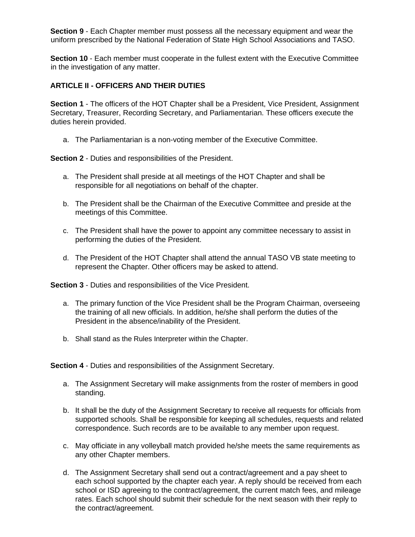**Section 9** - Each Chapter member must possess all the necessary equipment and wear the uniform prescribed by the National Federation of State High School Associations and TASO.

**Section 10** - Each member must cooperate in the fullest extent with the Executive Committee in the investigation of any matter.

# **ARTICLE II - OFFICERS AND THEIR DUTIES**

**Section 1** - The officers of the HOT Chapter shall be a President, Vice President, Assignment Secretary, Treasurer, Recording Secretary, and Parliamentarian. These officers execute the duties herein provided.

a. The Parliamentarian is a non-voting member of the Executive Committee.

**Section 2** - Duties and responsibilities of the President.

- a. The President shall preside at all meetings of the HOT Chapter and shall be responsible for all negotiations on behalf of the chapter.
- b. The President shall be the Chairman of the Executive Committee and preside at the meetings of this Committee.
- c. The President shall have the power to appoint any committee necessary to assist in performing the duties of the President.
- d. The President of the HOT Chapter shall attend the annual TASO VB state meeting to represent the Chapter. Other officers may be asked to attend.

**Section 3** - Duties and responsibilities of the Vice President.

- a. The primary function of the Vice President shall be the Program Chairman, overseeing the training of all new officials. In addition, he/she shall perform the duties of the President in the absence/inability of the President.
- b. Shall stand as the Rules Interpreter within the Chapter.

**Section 4** - Duties and responsibilities of the Assignment Secretary.

- a. The Assignment Secretary will make assignments from the roster of members in good standing.
- b. It shall be the duty of the Assignment Secretary to receive all requests for officials from supported schools. Shall be responsible for keeping all schedules, requests and related correspondence. Such records are to be available to any member upon request.
- c. May officiate in any volleyball match provided he/she meets the same requirements as any other Chapter members.
- d. The Assignment Secretary shall send out a contract/agreement and a pay sheet to each school supported by the chapter each year. A reply should be received from each school or ISD agreeing to the contract/agreement, the current match fees, and mileage rates. Each school should submit their schedule for the next season with their reply to the contract/agreement.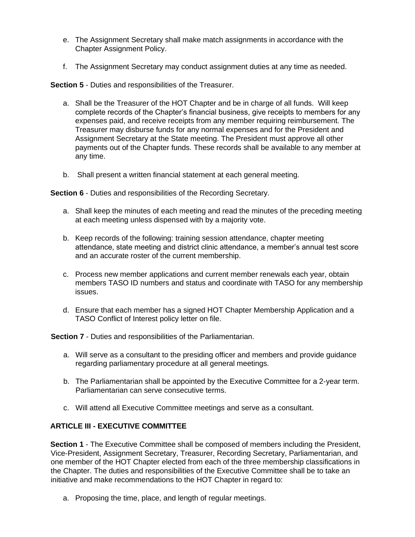- e. The Assignment Secretary shall make match assignments in accordance with the Chapter Assignment Policy.
- f. The Assignment Secretary may conduct assignment duties at any time as needed.

**Section 5** - Duties and responsibilities of the Treasurer.

- a. Shall be the Treasurer of the HOT Chapter and be in charge of all funds. Will keep complete records of the Chapter's financial business, give receipts to members for any expenses paid, and receive receipts from any member requiring reimbursement. The Treasurer may disburse funds for any normal expenses and for the President and Assignment Secretary at the State meeting. The President must approve all other payments out of the Chapter funds. These records shall be available to any member at any time.
- b. Shall present a written financial statement at each general meeting.

**Section 6** - Duties and responsibilities of the Recording Secretary.

- a. Shall keep the minutes of each meeting and read the minutes of the preceding meeting at each meeting unless dispensed with by a majority vote.
- b. Keep records of the following: training session attendance, chapter meeting attendance, state meeting and district clinic attendance, a member's annual test score and an accurate roster of the current membership.
- c. Process new member applications and current member renewals each year, obtain members TASO ID numbers and status and coordinate with TASO for any membership issues.
- d. Ensure that each member has a signed HOT Chapter Membership Application and a TASO Conflict of Interest policy letter on file.

**Section 7** - Duties and responsibilities of the Parliamentarian.

- a. Will serve as a consultant to the presiding officer and members and provide guidance regarding parliamentary procedure at all general meetings.
- b. The Parliamentarian shall be appointed by the Executive Committee for a 2-year term. Parliamentarian can serve consecutive terms.
- c. Will attend all Executive Committee meetings and serve as a consultant.

# **ARTICLE III - EXECUTIVE COMMITTEE**

**Section 1** - The Executive Committee shall be composed of members including the President, Vice-President, Assignment Secretary, Treasurer, Recording Secretary, Parliamentarian, and one member of the HOT Chapter elected from each of the three membership classifications in the Chapter. The duties and responsibilities of the Executive Committee shall be to take an initiative and make recommendations to the HOT Chapter in regard to:

a. Proposing the time, place, and length of regular meetings.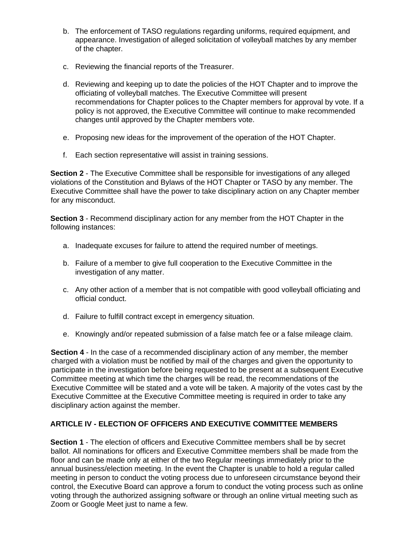- b. The enforcement of TASO regulations regarding uniforms, required equipment, and appearance. Investigation of alleged solicitation of volleyball matches by any member of the chapter.
- c. Reviewing the financial reports of the Treasurer.
- d. Reviewing and keeping up to date the policies of the HOT Chapter and to improve the officiating of volleyball matches. The Executive Committee will present recommendations for Chapter polices to the Chapter members for approval by vote. If a policy is not approved, the Executive Committee will continue to make recommended changes until approved by the Chapter members vote.
- e. Proposing new ideas for the improvement of the operation of the HOT Chapter.
- f. Each section representative will assist in training sessions.

**Section 2** - The Executive Committee shall be responsible for investigations of any alleged violations of the Constitution and Bylaws of the HOT Chapter or TASO by any member. The Executive Committee shall have the power to take disciplinary action on any Chapter member for any misconduct.

**Section 3** - Recommend disciplinary action for any member from the HOT Chapter in the following instances:

- a. Inadequate excuses for failure to attend the required number of meetings.
- b. Failure of a member to give full cooperation to the Executive Committee in the investigation of any matter.
- c. Any other action of a member that is not compatible with good volleyball officiating and official conduct.
- d. Failure to fulfill contract except in emergency situation.
- e. Knowingly and/or repeated submission of a false match fee or a false mileage claim.

**Section 4** - In the case of a recommended disciplinary action of any member, the member charged with a violation must be notified by mail of the charges and given the opportunity to participate in the investigation before being requested to be present at a subsequent Executive Committee meeting at which time the charges will be read, the recommendations of the Executive Committee will be stated and a vote will be taken. A majority of the votes cast by the Executive Committee at the Executive Committee meeting is required in order to take any disciplinary action against the member.

# **ARTICLE IV - ELECTION OF OFFICERS AND EXECUTIVE COMMITTEE MEMBERS**

**Section 1** - The election of officers and Executive Committee members shall be by secret ballot. All nominations for officers and Executive Committee members shall be made from the floor and can be made only at either of the two Regular meetings immediately prior to the annual business/election meeting. In the event the Chapter is unable to hold a regular called meeting in person to conduct the voting process due to unforeseen circumstance beyond their control, the Executive Board can approve a forum to conduct the voting process such as online voting through the authorized assigning software or through an online virtual meeting such as Zoom or Google Meet just to name a few.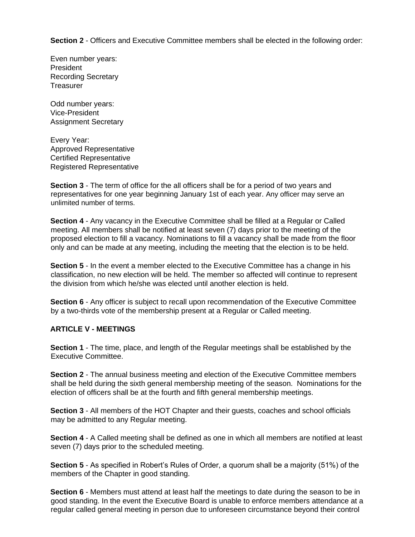**Section 2** - Officers and Executive Committee members shall be elected in the following order:

Even number years: President Recording Secretary **Treasurer** 

Odd number years: Vice-President Assignment Secretary

Every Year: Approved Representative Certified Representative Registered Representative

**Section 3** - The term of office for the all officers shall be for a period of two years and representatives for one year beginning January 1st of each year. Any officer may serve an unlimited number of terms.

**Section 4** - Any vacancy in the Executive Committee shall be filled at a Regular or Called meeting. All members shall be notified at least seven (7) days prior to the meeting of the proposed election to fill a vacancy. Nominations to fill a vacancy shall be made from the floor only and can be made at any meeting, including the meeting that the election is to be held.

**Section 5** - In the event a member elected to the Executive Committee has a change in his classification, no new election will be held. The member so affected will continue to represent the division from which he/she was elected until another election is held.

**Section 6** - Any officer is subject to recall upon recommendation of the Executive Committee by a two-thirds vote of the membership present at a Regular or Called meeting.

## **ARTICLE V - MEETINGS**

**Section 1** - The time, place, and length of the Regular meetings shall be established by the Executive Committee.

**Section 2** - The annual business meeting and election of the Executive Committee members shall be held during the sixth general membership meeting of the season. Nominations for the election of officers shall be at the fourth and fifth general membership meetings.

**Section 3** - All members of the HOT Chapter and their guests, coaches and school officials may be admitted to any Regular meeting.

**Section 4** - A Called meeting shall be defined as one in which all members are notified at least seven (7) days prior to the scheduled meeting.

**Section 5** - As specified in Robert's Rules of Order, a quorum shall be a majority (51%) of the members of the Chapter in good standing.

**Section 6** - Members must attend at least half the meetings to date during the season to be in good standing. In the event the Executive Board is unable to enforce members attendance at a regular called general meeting in person due to unforeseen circumstance beyond their control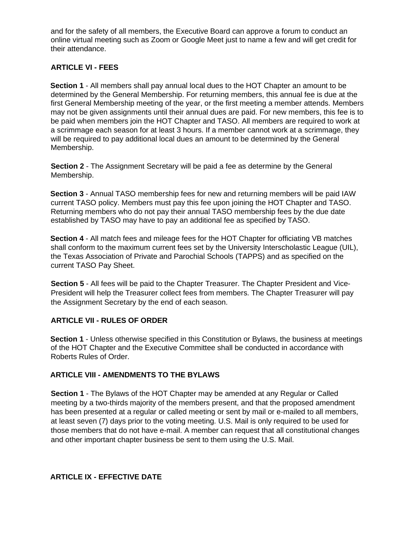and for the safety of all members, the Executive Board can approve a forum to conduct an online virtual meeting such as Zoom or Google Meet just to name a few and will get credit for their attendance.

# **ARTICLE VI - FEES**

**Section 1** - All members shall pay annual local dues to the HOT Chapter an amount to be determined by the General Membership. For returning members, this annual fee is due at the first General Membership meeting of the year, or the first meeting a member attends. Members may not be given assignments until their annual dues are paid. For new members, this fee is to be paid when members join the HOT Chapter and TASO. All members are required to work at a scrimmage each season for at least 3 hours. If a member cannot work at a scrimmage, they will be required to pay additional local dues an amount to be determined by the General Membership.

**Section 2** - The Assignment Secretary will be paid a fee as determine by the General Membership.

**Section 3** - Annual TASO membership fees for new and returning members will be paid IAW current TASO policy. Members must pay this fee upon joining the HOT Chapter and TASO. Returning members who do not pay their annual TASO membership fees by the due date established by TASO may have to pay an additional fee as specified by TASO.

**Section 4** - All match fees and mileage fees for the HOT Chapter for officiating VB matches shall conform to the maximum current fees set by the University Interscholastic League (UIL), the Texas Association of Private and Parochial Schools (TAPPS) and as specified on the current TASO Pay Sheet.

**Section 5** - All fees will be paid to the Chapter Treasurer. The Chapter President and Vice-President will help the Treasurer collect fees from members. The Chapter Treasurer will pay the Assignment Secretary by the end of each season.

## **ARTICLE VII - RULES OF ORDER**

**Section 1** - Unless otherwise specified in this Constitution or Bylaws, the business at meetings of the HOT Chapter and the Executive Committee shall be conducted in accordance with Roberts Rules of Order.

## **ARTICLE VIII - AMENDMENTS TO THE BYLAWS**

**Section 1** - The Bylaws of the HOT Chapter may be amended at any Regular or Called meeting by a two-thirds majority of the members present, and that the proposed amendment has been presented at a regular or called meeting or sent by mail or e-mailed to all members, at least seven (7) days prior to the voting meeting. U.S. Mail is only required to be used for those members that do not have e-mail. A member can request that all constitutional changes and other important chapter business be sent to them using the U.S. Mail.

## **ARTICLE IX - EFFECTIVE DATE**